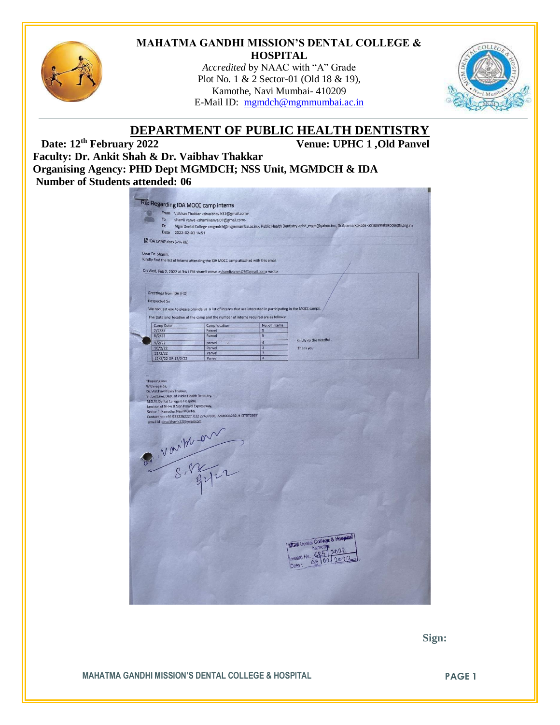

#### **MAHATMA GANDHI MISSION'S DENTAL COLLEGE & HOSPITAL**

*Accredited* by NAAC with "A" Grade Plot No. 1 & 2 Sector-01 (Old 18 & 19), Kamothe, Navi Mumbai- 410209 E-Mail ID: [mgmdch@mgmmumbai.ac.in](mailto:mgmdch@mgmmumbai.ac.in)



# **DEPARTMENT OF PUBLIC HEALTH DENTISTRY**<br>Venue: UPHC 1, Old Panvel

**Venue: UPHC 1,Old Panvel** 

**Faculty: Dr. Ankit Shah & Dr. Vaibhav Thakkar Organising Agency: PHD Dept MGMDCH; NSS Unit, MGMDCH & IDA Number of Students attended: 06**

|                                |                      |                                                                                                                                                                                                      | From Vaibhav Thakkar <drvaibhav.h32@gmail.com></drvaibhav.h32@gmail.com>                                      |                                  |                                                                                                                                                                                                                 |
|--------------------------------|----------------------|------------------------------------------------------------------------------------------------------------------------------------------------------------------------------------------------------|---------------------------------------------------------------------------------------------------------------|----------------------------------|-----------------------------------------------------------------------------------------------------------------------------------------------------------------------------------------------------------------|
|                                | To                   |                                                                                                                                                                                                      | shamli vanve <shamlivanve.07@gmail.com></shamlivanve.07@gmail.com>                                            |                                  |                                                                                                                                                                                                                 |
|                                | Cc                   |                                                                                                                                                                                                      |                                                                                                               |                                  | Mgm Dental College <mgmdch@mgmmumbai.ac.in>, Public Health Dentistry <phd_mgm@yahoo.in>, Dr.Aparna Kokode <dr.aparnakokode@tii.org.in></dr.aparnakokode@tii.org.in></phd_mgm@yahoo.in></mgmdch@mgmmumbai.ac.in> |
|                                | Date                 | 2022-02-03 14:51                                                                                                                                                                                     |                                                                                                               |                                  |                                                                                                                                                                                                                 |
|                                |                      | DA CAMP.docx(-14 KB)                                                                                                                                                                                 |                                                                                                               |                                  |                                                                                                                                                                                                                 |
|                                |                      |                                                                                                                                                                                                      |                                                                                                               |                                  |                                                                                                                                                                                                                 |
|                                | Dear Dr. Shamli,     |                                                                                                                                                                                                      |                                                                                                               |                                  |                                                                                                                                                                                                                 |
|                                |                      |                                                                                                                                                                                                      | Kindly find the list of interns attending the IDA MOCC camp attached with this email.                         |                                  |                                                                                                                                                                                                                 |
|                                |                      |                                                                                                                                                                                                      | On Wed, Feb 2, 2022 at 3:41 PM shamli vanve <shamlivanve.07@gmail.com> wrote:</shamlivanve.07@gmail.com>      |                                  |                                                                                                                                                                                                                 |
|                                |                      |                                                                                                                                                                                                      |                                                                                                               |                                  |                                                                                                                                                                                                                 |
|                                |                      |                                                                                                                                                                                                      |                                                                                                               |                                  |                                                                                                                                                                                                                 |
|                                |                      | Greetings from IDA (HO)                                                                                                                                                                              |                                                                                                               |                                  |                                                                                                                                                                                                                 |
|                                | <b>Respected Sir</b> |                                                                                                                                                                                                      |                                                                                                               |                                  |                                                                                                                                                                                                                 |
|                                |                      |                                                                                                                                                                                                      |                                                                                                               |                                  |                                                                                                                                                                                                                 |
|                                |                      |                                                                                                                                                                                                      | We request you to please provide us a list of interns that are interested in participating in the MOCC camps. |                                  |                                                                                                                                                                                                                 |
|                                |                      |                                                                                                                                                                                                      | The Date and location of the camp and the number of interns required are as follows:                          |                                  |                                                                                                                                                                                                                 |
|                                | Camp Date            |                                                                                                                                                                                                      | Camp location                                                                                                 | No. of interns                   |                                                                                                                                                                                                                 |
|                                | 7/2/22               |                                                                                                                                                                                                      | Panyel                                                                                                        | 5                                |                                                                                                                                                                                                                 |
|                                | 8/2/22               |                                                                                                                                                                                                      | Panvel                                                                                                        | $\overline{\mathbf{5}}$          | Kindly do the needful.                                                                                                                                                                                          |
|                                | 9/2/22<br>10/2/22    |                                                                                                                                                                                                      | panvel<br>Panvel                                                                                              | $\overline{4}$<br>$\overline{3}$ | Thank you                                                                                                                                                                                                       |
|                                | 11/2/22              |                                                                                                                                                                                                      | Panvel                                                                                                        | $\overline{3}$                   |                                                                                                                                                                                                                 |
|                                |                      | 12/2/22 OR 13/2/22                                                                                                                                                                                   | Panvel                                                                                                        | $\overline{4}$                   |                                                                                                                                                                                                                 |
| Thanking you.<br>With regards, |                      | Dr. Vaibhav Pravin Thakkar,<br>Sr. Lecturer, Dept. of Public Health Dentistry,<br>M.G.M. Dental College & Hospital,<br>Junction of NH-4 & Sion Panvel Expressway,<br>Sector 1, Kamothe, Navi Mumbai. | Contact no: +91 9322262227, 022 27437836, 7208004232, 9137572987                                              |                                  |                                                                                                                                                                                                                 |
|                                |                      | email id : drvaibhav.h32@gmail.com                                                                                                                                                                   |                                                                                                               |                                  |                                                                                                                                                                                                                 |
|                                |                      |                                                                                                                                                                                                      |                                                                                                               |                                  |                                                                                                                                                                                                                 |
|                                |                      |                                                                                                                                                                                                      |                                                                                                               |                                  |                                                                                                                                                                                                                 |
|                                |                      |                                                                                                                                                                                                      |                                                                                                               |                                  |                                                                                                                                                                                                                 |
|                                |                      |                                                                                                                                                                                                      |                                                                                                               |                                  |                                                                                                                                                                                                                 |
|                                |                      |                                                                                                                                                                                                      |                                                                                                               |                                  |                                                                                                                                                                                                                 |
|                                |                      |                                                                                                                                                                                                      |                                                                                                               |                                  |                                                                                                                                                                                                                 |
|                                |                      |                                                                                                                                                                                                      |                                                                                                               |                                  |                                                                                                                                                                                                                 |
|                                |                      |                                                                                                                                                                                                      |                                                                                                               |                                  |                                                                                                                                                                                                                 |
|                                |                      |                                                                                                                                                                                                      | P. Varithan                                                                                                   |                                  |                                                                                                                                                                                                                 |
|                                |                      |                                                                                                                                                                                                      |                                                                                                               |                                  |                                                                                                                                                                                                                 |
|                                |                      |                                                                                                                                                                                                      |                                                                                                               |                                  |                                                                                                                                                                                                                 |
|                                |                      |                                                                                                                                                                                                      |                                                                                                               |                                  |                                                                                                                                                                                                                 |
|                                |                      |                                                                                                                                                                                                      |                                                                                                               |                                  |                                                                                                                                                                                                                 |
|                                |                      |                                                                                                                                                                                                      |                                                                                                               |                                  |                                                                                                                                                                                                                 |
|                                |                      |                                                                                                                                                                                                      |                                                                                                               |                                  | MGM Dental College & Hospital<br>Kamothe                                                                                                                                                                        |
|                                |                      |                                                                                                                                                                                                      |                                                                                                               |                                  |                                                                                                                                                                                                                 |
|                                |                      |                                                                                                                                                                                                      |                                                                                                               |                                  | Inward No. 685<br>ገወገ<br>m<br>Date:                                                                                                                                                                             |

 **Sign:**

**MAHATMA GANDHI MISSION'S DENTAL COLLEGE & HOSPITAL PAGE 1**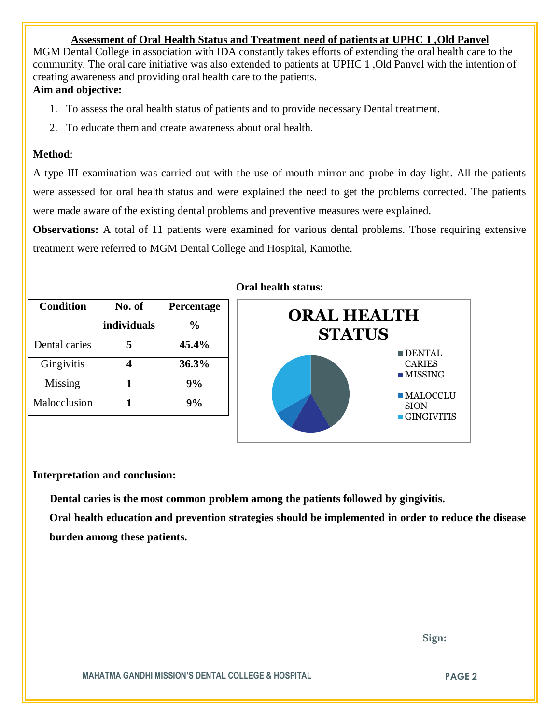#### **Assessment of Oral Health Status and Treatment need of patients at UPHC 1 ,Old Panvel**

MGM Dental College in association with IDA constantly takes efforts of extending the oral health care to the community. The oral care initiative was also extended to patients at UPHC 1 ,Old Panvel with the intention of creating awareness and providing oral health care to the patients.

## **Aim and objective:**

- 1. To assess the oral health status of patients and to provide necessary Dental treatment.
- 2. To educate them and create awareness about oral health.

#### **Method**:

A type III examination was carried out with the use of mouth mirror and probe in day light. All the patients were assessed for oral health status and were explained the need to get the problems corrected. The patients were made aware of the existing dental problems and preventive measures were explained.

**Observations:** A total of 11 patients were examined for various dental problems. Those requiring extensive treatment were referred to MGM Dental College and Hospital, Kamothe.

| <b>Condition</b> | No. of      | Percentage |
|------------------|-------------|------------|
|                  | individuals | $\%$       |
| Dental caries    |             | 45.4%      |
| Gingivitis       |             | 36.3%      |
| Missing          |             | 9%         |
| Malocclusion     |             | 9%         |

## **Oral health status:**



#### **Interpretation and conclusion:**

 **Dental caries is the most common problem among the patients followed by gingivitis.**

**Oral health education and prevention strategies should be implemented in order to reduce the disease burden among these patients.**

 **Sign:**

**MAHATMA GANDHI MISSION'S DENTAL COLLEGE & HOSPITAL PAGE 2**